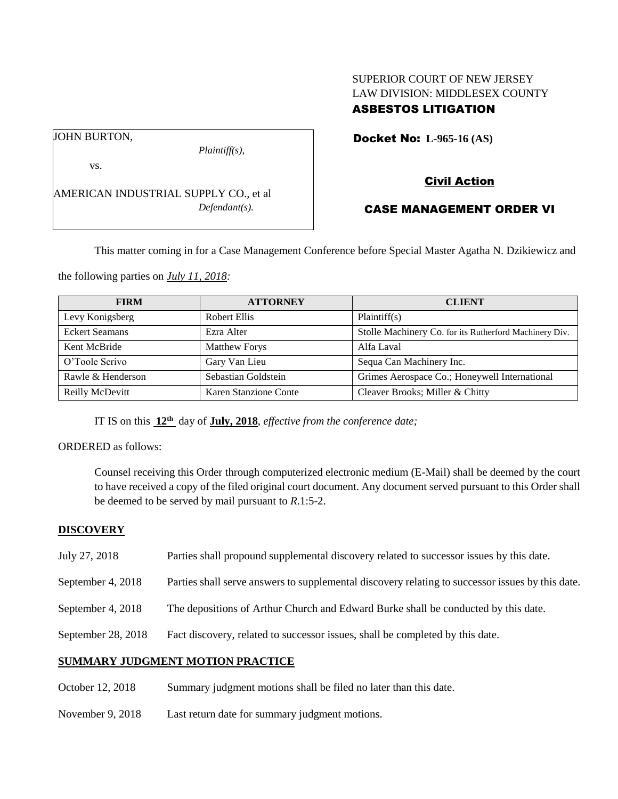### SUPERIOR COURT OF NEW JERSEY LAW DIVISION: MIDDLESEX COUNTY ASBESTOS LITIGATION

Docket No: **L-965-16 (AS)** 

vs.

JOHN BURTON,

AMERICAN INDUSTRIAL SUPPLY CO., et al *Defendant(s).*

*Plaintiff(s),*

# Civil Action

### CASE MANAGEMENT ORDER VI

This matter coming in for a Case Management Conference before Special Master Agatha N. Dzikiewicz and

the following parties on *July 11, 2018:*

| <b>FIRM</b>           | <b>ATTORNEY</b>       | <b>CLIENT</b>                                          |
|-----------------------|-----------------------|--------------------------------------------------------|
| Levy Konigsberg       | <b>Robert Ellis</b>   | Plaintiff(s)                                           |
| <b>Eckert Seamans</b> | Ezra Alter            | Stolle Machinery Co. for its Rutherford Machinery Div. |
| Kent McBride          | <b>Matthew Forys</b>  | Alfa Laval                                             |
| O'Toole Scrivo        | Gary Van Lieu         | Sequa Can Machinery Inc.                               |
| Rawle & Henderson     | Sebastian Goldstein   | Grimes Aerospace Co.; Honeywell International          |
| Reilly McDevitt       | Karen Stanzione Conte | Cleaver Brooks; Miller & Chitty                        |

IT IS on this **12th** day of **July, 2018**, *effective from the conference date;*

ORDERED as follows:

Counsel receiving this Order through computerized electronic medium (E-Mail) shall be deemed by the court to have received a copy of the filed original court document. Any document served pursuant to this Order shall be deemed to be served by mail pursuant to *R*.1:5-2.

### **DISCOVERY**

- July 27, 2018 Parties shall propound supplemental discovery related to successor issues by this date.
- September 4, 2018 Parties shall serve answers to supplemental discovery relating to successor issues by this date.
- September 4, 2018 The depositions of Arthur Church and Edward Burke shall be conducted by this date.
- September 28, 2018 Fact discovery, related to successor issues, shall be completed by this date.

#### **SUMMARY JUDGMENT MOTION PRACTICE**

- October 12, 2018 Summary judgment motions shall be filed no later than this date.
- November 9, 2018 Last return date for summary judgment motions.